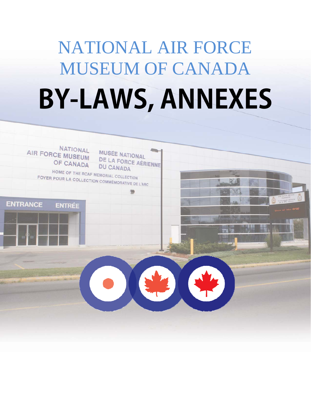# NATIONAL AIR FORCE MUSEUM OF CANADA **BY-LAWS, ANNEXES**

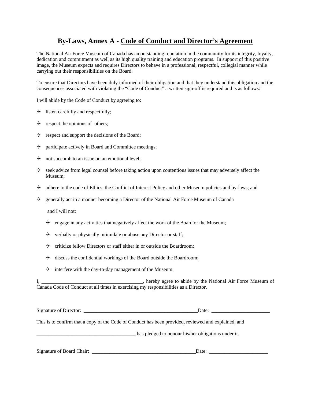# **By-Laws, Annex A - Code of Conduct and Director's Agreement**

The National Air Force Museum of Canada has an outstanding reputation in the community for its integrity, loyalty, dedication and commitment as well as its high quality training and education programs. In support of this positive image, the Museum expects and requires Directors to behave in a professional, respectful, collegial manner while carrying out their responsibilities on the Board.

To ensure that Directors have been duly informed of their obligation and that they understand this obligation and the consequences associated with violating the "Code of Conduct" a written sign-off is required and is as follows:

I will abide by the Code of Conduct by agreeing to:

- $\rightarrow$  listen carefully and respectfully;
- $\rightarrow$  respect the opinions of others;
- $\rightarrow$  respect and support the decisions of the Board;
- $\rightarrow$  participate actively in Board and Committee meetings;
- $\rightarrow$  not succumb to an issue on an emotional level;
- $\rightarrow$  seek advice from legal counsel before taking action upon contentious issues that may adversely affect the Museum;
- $\rightarrow$  adhere to the code of Ethics, the Conflict of Interest Policy and other Museum policies and by-laws; and
- $\rightarrow$  generally act in a manner becoming a Director of the National Air Force Museum of Canada

and I will not:

- $\rightarrow$  engage in any activities that negatively affect the work of the Board or the Museum;
- $\rightarrow$  verbally or physically intimidate or abuse any Director or staff;
- $\rightarrow$  criticize fellow Directors or staff either in or outside the Boardroom;
- $\rightarrow$  discuss the confidential workings of the Board outside the Boardroom;
- $\rightarrow$  interfere with the day-to-day management of the Museum.

I, \_\_\_\_\_\_\_\_\_\_\_\_\_\_\_\_\_\_\_\_\_\_\_\_\_\_\_\_\_\_\_\_\_\_\_\_\_\_\_\_, hereby agree to abide by the National Air Force Museum of Canada Code of Conduct at all times in exercising my responsibilities as a Director.

| Signature of Director:    | Date:                                                                                                |  |
|---------------------------|------------------------------------------------------------------------------------------------------|--|
|                           | This is to confirm that a copy of the Code of Conduct has been provided, reviewed and explained, and |  |
|                           | has pledged to honour his/her obligations under it.                                                  |  |
| Signature of Board Chair: | Date:                                                                                                |  |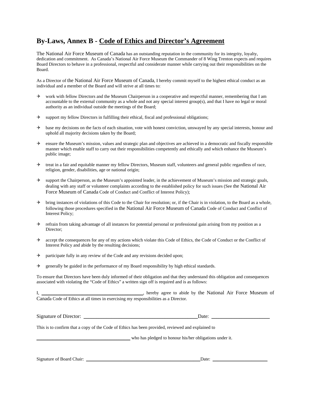# **By-Laws, Annex B - Code of Ethics and Director's Agreement**

The National Air Force Museum of Canada has an outstanding reputation in the community for its integrity, loyalty, dedication and commitment. As Canada's National Air Force Museum the Commander of 8 Wing Trenton expects and requires Board Directors to behave in a professional, respectful and considerate manner while carrying out their responsibilities on the Board.

As a Director of the National Air Force Museum of Canada, I hereby commit myself to the highest ethical conduct as an individual and a member of the Board and will strive at all times to:

- work with fellow Directors and the Museum Chairperson in a cooperative and respectful manner, remembering that I am accountable to the external community as a whole and not any special interest group(s), and that I have no legal or moral authority as an individual outside the meetings of the Board;
- $\rightarrow$  support my fellow Directors in fulfilling their ethical, fiscal and professional obligations;
- $\rightarrow$  base my decisions on the facts of each situation, vote with honest conviction, unswayed by any special interests, honour and uphold all majority decisions taken by the Board;
- $\rightarrow$  ensure the Museum's mission, values and strategic plan and objectives are achieved in a democratic and fiscally responsible manner which enable staff to carry out their responsibilities competently and ethically and which enhance the Museum's public image;
- $\rightarrow$  treat in a fair and equitable manner my fellow Directors, Museum staff, volunteers and general public regardless of race, religion, gender, disabilities, age or national origin;
- $\rightarrow$  support the Chairperson, as the Museum's appointed leader, in the achievement of Museum's mission and strategic goals, dealing with any staff or volunteer complaints according to the established policy for such issues (See the National Air Force Museum of Canada Code of Conduct and Conflict of Interest Policy);
- $\rightarrow$  bring instances of violations of this Code to the Chair for resolution; or, if the Chair is in violation, to the Board as a whole, following those procedures specified in the National Air Force Museum of Canada Code of Conduct and Conflict of Interest Policy;
- $\rightarrow$  refrain from taking advantage of all instances for potential personal or professional gain arising from my position as a Director;
- accept the consequences for any of my actions which violate this Code of Ethics, the Code of Conduct or the Conflict of Interest Policy and abide by the resulting decisions;
- $\rightarrow$  participate fully in any review of the Code and any revisions decided upon;
- $\rightarrow$  generally be guided in the performance of my Board responsibility by high ethical standards.

To ensure that Directors have been duly informed of their obligation and that they understand this obligation and consequences associated with violating the "Code of Ethics" a written sign off is required and is as follows:

I, \_\_\_\_\_\_\_\_\_\_\_\_\_\_\_\_\_\_\_\_\_\_\_\_\_\_\_\_\_\_\_\_\_\_\_\_\_\_\_\_, hereby agree to abide by the National Air Force Museum of Canada Code of Ethics at all times in exercising my responsibilities as a Director.

Date:  $\Box$ 

This is to confirm that a copy of the Code of Ethics has been provided, reviewed and explained to

\_\_\_\_\_\_\_\_\_\_\_\_\_\_\_\_\_\_\_\_\_\_\_\_\_\_\_\_\_\_\_\_\_\_\_\_\_\_\_\_\_ who has pledged to honour his/her obligations under it.

Signature of Board Chair: \_\_\_\_\_\_\_\_\_\_\_\_\_\_\_\_\_\_\_\_\_\_\_\_\_\_\_\_\_\_\_\_\_\_\_\_\_\_\_\_\_\_\_\_\_\_\_\_\_\_Date: \_\_\_\_\_\_\_\_\_\_\_\_\_\_\_\_\_\_\_\_\_\_\_\_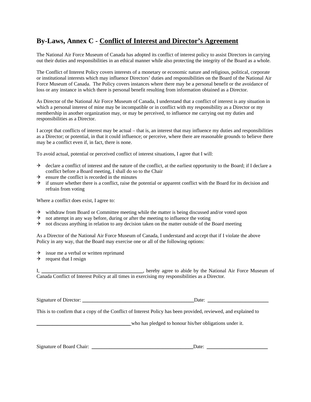# **By-Laws, Annex C - Conflict of Interest and Director's Agreement**

The National Air Force Museum of Canada has adopted its conflict of interest policy to assist Directors in carrying out their duties and responsibilities in an ethical manner while also protecting the integrity of the Board as a whole.

The Conflict of Interest Policy covers interests of a monetary or economic nature and religious, political, corporate or institutional interests which may influence Directors' duties and responsibilities on the Board of the National Air Force Museum of Canada. The Policy covers instances where there may be a personal benefit or the avoidance of loss or any instance in which there is personal benefit resulting from information obtained as a Director.

As Director of the National Air Force Museum of Canada, I understand that a conflict of interest is any situation in which a personal interest of mine may be incompatible or in conflict with my responsibility as a Director or my membership in another organization may, or may be perceived, to influence me carrying out my duties and responsibilities as a Director.

I accept that conflicts of interest may be actual – that is, an interest that may influence my duties and responsibilities as a Director; or potential, in that it could influence; or perceive, where there are reasonable grounds to believe there may be a conflict even if, in fact, there is none.

To avoid actual, potential or perceived conflict of interest situations, I agree that I will:

- $\rightarrow$  declare a conflict of interest and the nature of the conflict, at the earliest opportunity to the Board; if I declare a conflict before a Board meeting, I shall do so to the Chair
- $\rightarrow$  ensure the conflict is recorded in the minutes
- $\rightarrow$  if unsure whether there is a conflict, raise the potential or apparent conflict with the Board for its decision and refrain from voting

Where a conflict does exist, I agree to:

- $\rightarrow$  withdraw from Board or Committee meeting while the matter is being discussed and/or voted upon
- $\rightarrow$  not attempt in any way before, during or after the meeting to influence the voting
- $\rightarrow$  not discuss anything in relation to any decision taken on the matter outside of the Board meeting

As a Director of the National Air Force Museum of Canada, I understand and accept that if I violate the above Policy in any way, that the Board may exercise one or all of the following options:

- $\rightarrow$  issue me a verbal or written reprimand
- $\rightarrow$  request that I resign

I, \_\_\_\_\_\_\_\_\_\_\_\_\_\_\_\_\_\_\_\_\_\_\_\_\_\_\_\_\_, hereby agree to abide by the National Air Force Museum of Canada Conflict of Interest Policy at all times in exercising my responsibilities as a Director.

Signature of Director: \_\_\_\_\_\_\_\_\_\_\_\_\_\_\_\_\_\_\_\_\_\_\_\_\_\_\_\_\_\_\_\_\_\_\_\_\_\_\_\_\_\_\_\_Date: \_\_\_\_\_\_\_\_\_\_\_\_\_\_\_\_\_\_\_\_\_\_\_\_

This is to confirm that a copy of the Conflict of Interest Policy has been provided, reviewed, and explained to

who has pledged to honour his/her obligations under it.

Signature of Board Chair: \_\_\_\_\_\_\_\_\_\_\_\_\_\_\_\_\_\_\_\_\_\_\_\_\_\_\_\_\_\_\_\_\_\_\_\_\_\_\_\_Date: \_\_\_\_\_\_\_\_\_\_\_\_\_\_\_\_\_\_\_\_\_\_\_\_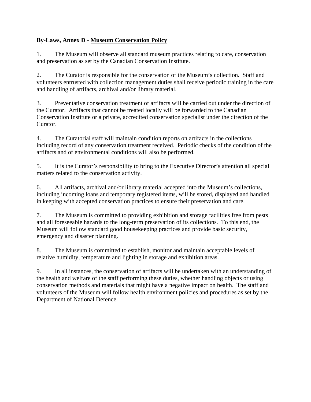# **By-Laws, Annex D - Museum Conservation Policy**

1. The Museum will observe all standard museum practices relating to care, conservation and preservation as set by the Canadian Conservation Institute.

2. The Curator is responsible for the conservation of the Museum's collection. Staff and volunteers entrusted with collection management duties shall receive periodic training in the care and handling of artifacts, archival and/or library material.

3. Preventative conservation treatment of artifacts will be carried out under the direction of the Curator. Artifacts that cannot be treated locally will be forwarded to the Canadian Conservation Institute or a private, accredited conservation specialist under the direction of the Curator.

4. The Curatorial staff will maintain condition reports on artifacts in the collections including record of any conservation treatment received. Periodic checks of the condition of the artifacts and of environmental conditions will also be performed.

5. It is the Curator's responsibility to bring to the Executive Director's attention all special matters related to the conservation activity.

6. All artifacts, archival and/or library material accepted into the Museum's collections, including incoming loans and temporary registered items, will be stored, displayed and handled in keeping with accepted conservation practices to ensure their preservation and care.

7. The Museum is committed to providing exhibition and storage facilities free from pests and all foreseeable hazards to the long-term preservation of its collections. To this end, the Museum will follow standard good housekeeping practices and provide basic security, emergency and disaster planning.

8. The Museum is committed to establish, monitor and maintain acceptable levels of relative humidity, temperature and lighting in storage and exhibition areas.

9. In all instances, the conservation of artifacts will be undertaken with an understanding of the health and welfare of the staff performing these duties, whether handling objects or using conservation methods and materials that might have a negative impact on health. The staff and volunteers of the Museum will follow health environment policies and procedures as set by the Department of National Defence.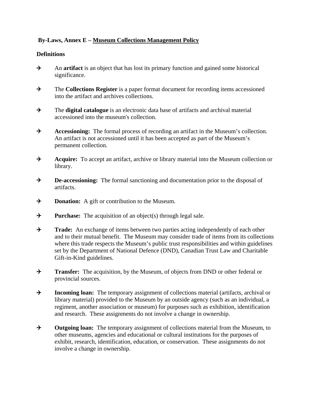# **By-Laws, Annex E – Museum Collections Management Policy**

# **Definitions**

- An **artifact** is an object that has lost its primary function and gained some historical significance.
- The **Collections Register** is a paper format document for recording items accessioned into the artifact and archives collections.
- The **digital catalogue** is an electronic data base of artifacts and archival material accessioned into the museum's collection.
- **Accessioning:** The formal process of recording an artifact in the Museum's collection. An artifact is not accessioned until it has been accepted as part of the Museum's permanent collection.
- **Acquire:** To accept an artifact, archive or library material into the Museum collection or library.
- **+** De-accessioning: The formal sanctioning and documentation prior to the disposal of artifacts.
- $\rightarrow$  Donation: A gift or contribution to the Museum.
- **Purchase:** The acquisition of an object(s) through legal sale.
- **Trade:** An exchange of items between two parties acting independently of each other and to their mutual benefit. The Museum may consider trade of items from its collections where this trade respects the Museum's public trust responsibilities and within guidelines set by the Department of National Defence (DND), Canadian Trust Law and Charitable Gift-in-Kind guidelines.
- **Transfer:** The acquisition, by the Museum, of objects from DND or other federal or provincial sources.
- **Fig. 3** Incoming loan: The temporary assignment of collections material (artifacts, archival or library material) provided to the Museum by an outside agency (such as an individual, a regiment, another association or museum) for purposes such as exhibition, identification and research. These assignments do not involve a change in ownership.
- **The Subset of Collections material from the Museum, to Outgoing loan:** The temporary assignment of collections material from the Museum, to other museums, agencies and educational or cultural institutions for the purposes of exhibit, research, identification, education, or conservation. These assignments do not involve a change in ownership.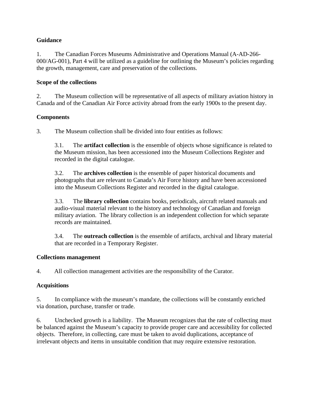# **Guidance**

1. The Canadian Forces Museums Administrative and Operations Manual (A-AD-266- 000/AG-001), Part 4 will be utilized as a guideline for outlining the Museum's policies regarding the growth, management, care and preservation of the collections.

## **Scope of the collections**

2. The Museum collection will be representative of all aspects of military aviation history in Canada and of the Canadian Air Force activity abroad from the early 1900s to the present day.

# **Components**

3. The Museum collection shall be divided into four entities as follows:

3.1. The **artifact collection** is the ensemble of objects whose significance is related to the Museum mission, has been accessioned into the Museum Collections Register and recorded in the digital catalogue.

3.2. The **archives collection** is the ensemble of paper historical documents and photographs that are relevant to Canada's Air Force history and have been accessioned into the Museum Collections Register and recorded in the digital catalogue.

3.3. The **library collection** contains books, periodicals, aircraft related manuals and audio-visual material relevant to the history and technology of Canadian and foreign military aviation. The library collection is an independent collection for which separate records are maintained.

3.4. The **outreach collection** is the ensemble of artifacts, archival and library material that are recorded in a Temporary Register.

### **Collections management**

4. All collection management activities are the responsibility of the Curator.

### **Acquisitions**

5. In compliance with the museum's mandate, the collections will be constantly enriched via donation, purchase, transfer or trade.

6. Unchecked growth is a liability. The Museum recognizes that the rate of collecting must be balanced against the Museum's capacity to provide proper care and accessibility for collected objects. Therefore, in collecting, care must be taken to avoid duplications, acceptance of irrelevant objects and items in unsuitable condition that may require extensive restoration.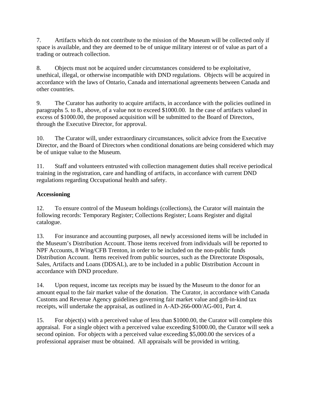7. Artifacts which do not contribute to the mission of the Museum will be collected only if space is available, and they are deemed to be of unique military interest or of value as part of a trading or outreach collection.

8. Objects must not be acquired under circumstances considered to be exploitative, unethical, illegal, or otherwise incompatible with DND regulations. Objects will be acquired in accordance with the laws of Ontario, Canada and international agreements between Canada and other countries.

9. The Curator has authority to acquire artifacts, in accordance with the policies outlined in paragraphs 5. to 8., above, of a value not to exceed \$1000.00. In the case of artifacts valued in excess of \$1000.00, the proposed acquisition will be submitted to the Board of Directors, through the Executive Director, for approval.

10. The Curator will, under extraordinary circumstances, solicit advice from the Executive Director, and the Board of Directors when conditional donations are being considered which may be of unique value to the Museum.

11. Staff and volunteers entrusted with collection management duties shall receive periodical training in the registration, care and handling of artifacts, in accordance with current DND regulations regarding Occupational health and safety.

# **Accessioning**

12. To ensure control of the Museum holdings (collections), the Curator will maintain the following records: Temporary Register; Collections Register; Loans Register and digital catalogue.

13. For insurance and accounting purposes, all newly accessioned items will be included in the Museum's Distribution Account. Those items received from individuals will be reported to NPF Accounts, 8 Wing/CFB Trenton, in order to be included on the non-public funds Distribution Account. Items received from public sources, such as the Directorate Disposals, Sales, Artifacts and Loans (DDSAL), are to be included in a public Distribution Account in accordance with DND procedure.

14. Upon request, income tax receipts may be issued by the Museum to the donor for an amount equal to the fair market value of the donation. The Curator, in accordance with Canada Customs and Revenue Agency guidelines governing fair market value and gift-in-kind tax receipts, will undertake the appraisal, as outlined in A-AD-266-000/AG-001, Part 4.

15. For object(s) with a perceived value of less than \$1000.00, the Curator will complete this appraisal. For a single object with a perceived value exceeding \$1000.00, the Curator will seek a second opinion. For objects with a perceived value exceeding \$5,000.00 the services of a professional appraiser must be obtained. All appraisals will be provided in writing.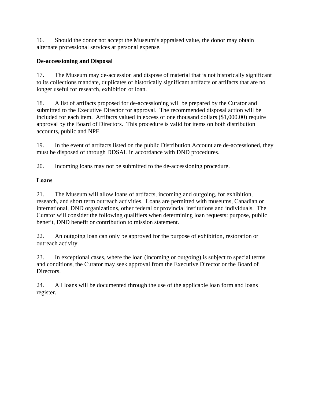16. Should the donor not accept the Museum's appraised value, the donor may obtain alternate professional services at personal expense.

# **De-accessioning and Disposal**

17. The Museum may de-accession and dispose of material that is not historically significant to its collections mandate, duplicates of historically significant artifacts or artifacts that are no longer useful for research, exhibition or loan.

18. A list of artifacts proposed for de-accessioning will be prepared by the Curator and submitted to the Executive Director for approval. The recommended disposal action will be included for each item. Artifacts valued in excess of one thousand dollars (\$1,000.00) require approval by the Board of Directors. This procedure is valid for items on both distribution accounts, public and NPF.

19. In the event of artifacts listed on the public Distribution Account are de-accessioned, they must be disposed of through DDSAL in accordance with DND procedures.

20. Incoming loans may not be submitted to the de-accessioning procedure.

# **Loans**

21. The Museum will allow loans of artifacts, incoming and outgoing, for exhibition, research, and short term outreach activities. Loans are permitted with museums, Canadian or international, DND organizations, other federal or provincial institutions and individuals. The Curator will consider the following qualifiers when determining loan requests: purpose, public benefit, DND benefit or contribution to mission statement.

22. An outgoing loan can only be approved for the purpose of exhibition, restoration or outreach activity.

23. In exceptional cases, where the loan (incoming or outgoing) is subject to special terms and conditions, the Curator may seek approval from the Executive Director or the Board of Directors.

24. All loans will be documented through the use of the applicable loan form and loans register.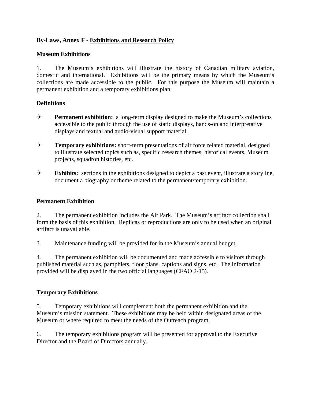# **By-Laws, Annex F - Exhibitions and Research Policy**

#### **Museum Exhibitions**

1. The Museum's exhibitions will illustrate the history of Canadian military aviation, domestic and international. Exhibitions will be the primary means by which the Museum's collections are made accessible to the public. For this purpose the Museum will maintain a permanent exhibition and a temporary exhibitions plan.

#### **Definitions**

- **Permanent exhibition:** a long-term display designed to make the Museum's collections accessible to the public through the use of static displays, hands-on and interpretative displays and textual and audio-visual support material.
- **Temporary exhibitions:** short-term presentations of air force related material, designed to illustrate selected topics such as, specific research themes, historical events, Museum projects, squadron histories, etc.
- **Exhibits:** sections in the exhibitions designed to depict a past event, illustrate a storyline, document a biography or theme related to the permanent/temporary exhibition.

#### **Permanent Exhibition**

2. The permanent exhibition includes the Air Park. The Museum's artifact collection shall form the basis of this exhibition. Replicas or reproductions are only to be used when an original artifact is unavailable.

3. Maintenance funding will be provided for in the Museum's annual budget.

4. The permanent exhibition will be documented and made accessible to visitors through published material such as, pamphlets, floor plans, captions and signs, etc. The information provided will be displayed in the two official languages (CFAO 2-15).

#### **Temporary Exhibitions**

5. Temporary exhibitions will complement both the permanent exhibition and the Museum's mission statement. These exhibitions may be held within designated areas of the Museum or where required to meet the needs of the Outreach program.

6. The temporary exhibitions program will be presented for approval to the Executive Director and the Board of Directors annually.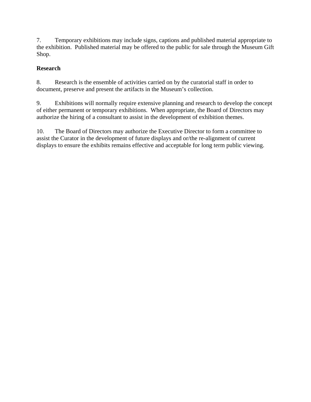7. Temporary exhibitions may include signs, captions and published material appropriate to the exhibition. Published material may be offered to the public for sale through the Museum Gift Shop.

# **Research**

8. Research is the ensemble of activities carried on by the curatorial staff in order to document, preserve and present the artifacts in the Museum's collection.

9. Exhibitions will normally require extensive planning and research to develop the concept of either permanent or temporary exhibitions. When appropriate, the Board of Directors may authorize the hiring of a consultant to assist in the development of exhibition themes.

10. The Board of Directors may authorize the Executive Director to form a committee to assist the Curator in the development of future displays and or/the re-alignment of current displays to ensure the exhibits remains effective and acceptable for long term public viewing.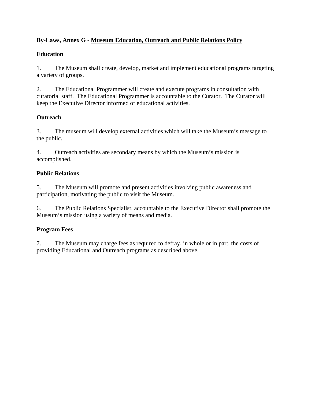# **By-Laws, Annex G - Museum Education, Outreach and Public Relations Policy**

# **Education**

1. The Museum shall create, develop, market and implement educational programs targeting a variety of groups.

2. The Educational Programmer will create and execute programs in consultation with curatorial staff. The Educational Programmer is accountable to the Curator. The Curator will keep the Executive Director informed of educational activities.

# **Outreach**

3. The museum will develop external activities which will take the Museum's message to the public.

4. Outreach activities are secondary means by which the Museum's mission is accomplished.

# **Public Relations**

5. The Museum will promote and present activities involving public awareness and participation, motivating the public to visit the Museum.

6. The Public Relations Specialist, accountable to the Executive Director shall promote the Museum's mission using a variety of means and media.

# **Program Fees**

7. The Museum may charge fees as required to defray, in whole or in part, the costs of providing Educational and Outreach programs as described above.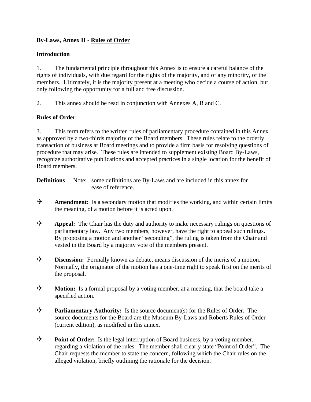# **By-Laws, Annex H - Rules of Order**

## **Introduction**

1. The fundamental principle throughout this Annex is to ensure a careful balance of the rights of individuals, with due regard for the rights of the majority, and of any minority, of the members. Ultimately, it is the majority present at a meeting who decide a course of action, but only following the opportunity for a full and free discussion.

2. This annex should be read in conjunction with Annexes A, B and C.

# **Rules of Order**

3. This term refers to the written rules of parliamentary procedure contained in this Annex as approved by a two-thirds majority of the Board members. These rules relate to the orderly transaction of business at Board meetings and to provide a firm basis for resolving questions of procedure that may arise. These rules are intended to supplement existing Board By-Laws, recognize authoritative publications and accepted practices in a single location for the benefit of Board members.

**Definitions** Note: some definitions are By-Laws and are included in this annex for ease of reference.

- Amendment: Is a secondary motion that modifies the working, and within certain limits the meaning, of a motion before it is acted upon.
- **Appeal:** The Chair has the duty and authority to make necessary rulings on questions of parliamentary law. Any two members, however, have the right to appeal such rulings. By proposing a motion and another "seconding", the ruling is taken from the Chair and vested in the Board by a majority vote of the members present.
- **H** Discussion: Formally known as debate, means discussion of the merits of a motion. Normally, the originator of the motion has a one-time right to speak first on the merits of the proposal.
- **H** Motion: Is a formal proposal by a voting member, at a meeting, that the board take a specified action.
- **Parliamentary Authority:** Is the source document(s) for the Rules of Order. The source documents for the Board are the Museum By-Laws and Roberts Rules of Order (current edition), as modified in this annex.
- **Point of Order:** Is the legal interruption of Board business, by a voting member, regarding a violation of the rules. The member shall clearly state "Point of Order". The Chair requests the member to state the concern, following which the Chair rules on the alleged violation, briefly outlining the rationale for the decision.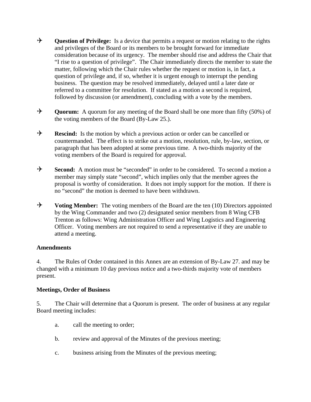- **H** Question of Privilege: Is a device that permits a request or motion relating to the rights and privileges of the Board or its members to be brought forward for immediate consideration because of its urgency. The member should rise and address the Chair that "I rise to a question of privilege". The Chair immediately directs the member to state the matter, following which the Chair rules whether the request or motion is, in fact, a question of privilege and, if so, whether it is urgent enough to interrupt the pending business. The question may be resolved immediately, delayed until a later date or referred to a committee for resolution. If stated as a motion a second is required, followed by discussion (or amendment), concluding with a vote by the members.
- **H** Ouorum: A quorum for any meeting of the Board shall be one more than fifty (50%) of the voting members of the Board (By-Law 25.).
- **Rescind:** Is the motion by which a previous action or order can be cancelled or countermanded. The effect is to strike out a motion, resolution, rule, by-law, section, or paragraph that has been adopted at some previous time. A two-thirds majority of the voting members of the Board is required for approval.
- **→** Second: A motion must be "seconded" in order to be considered. To second a motion a member may simply state "second", which implies only that the member agrees the proposal is worthy of consideration. It does not imply support for the motion. If there is no "second" the motion is deemed to have been withdrawn.
- → **Voting Member:** The voting members of the Board are the ten (10) Directors appointed by the Wing Commander and two (2) designated senior members from 8 Wing CFB Trenton as follows: Wing Administration Officer and Wing Logistics and Engineering Officer. Voting members are not required to send a representative if they are unable to attend a meeting.

#### **Amendments**

4. The Rules of Order contained in this Annex are an extension of By-Law 27. and may be changed with a minimum 10 day previous notice and a two-thirds majority vote of members present.

#### **Meetings, Order of Business**

5. The Chair will determine that a Quorum is present. The order of business at any regular Board meeting includes:

- a. call the meeting to order;
- b. review and approval of the Minutes of the previous meeting;
- c. business arising from the Minutes of the previous meeting;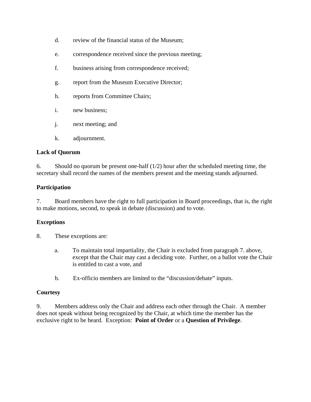- d. review of the financial status of the Museum;
- e. correspondence received since the previous meeting;
- f. business arising from correspondence received;
- g. report from the Museum Executive Director;
- h. reports from Committee Chairs;
- i. new business;
- j. next meeting; and
- k. adjournment.

#### **Lack of Quorum**

6. Should no quorum be present one-half  $(1/2)$  hour after the scheduled meeting time, the secretary shall record the names of the members present and the meeting stands adjourned.

#### **Participation**

7. Board members have the right to full participation in Board proceedings, that is, the right to make motions, second, to speak in debate (discussion) and to vote.

#### **Exceptions**

- 8. These exceptions are:
	- a. To maintain total impartiality, the Chair is excluded from paragraph 7. above, except that the Chair may cast a deciding vote. Further, on a ballot vote the Chair is entitled to cast a vote, and
	- b. Ex-officio members are limited to the "discussion/debate" inputs.

#### **Courtesy**

9. Members address only the Chair and address each other through the Chair. A member does not speak without being recognized by the Chair, at which time the member has the exclusive right to be heard. Exception: **Point of Order** or a **Question of Privilege**.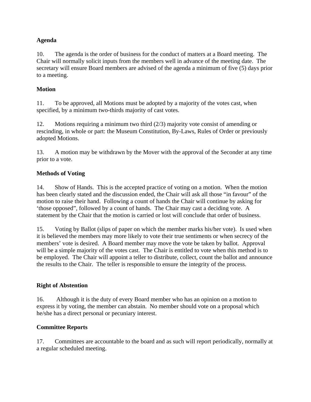# **Agenda**

10. The agenda is the order of business for the conduct of matters at a Board meeting. The Chair will normally solicit inputs from the members well in advance of the meeting date. The secretary will ensure Board members are advised of the agenda a minimum of five (5) days prior to a meeting.

# **Motion**

11. To be approved, all Motions must be adopted by a majority of the votes cast, when specified, by a minimum two-thirds majority of cast votes.

12. Motions requiring a minimum two third (2/3) majority vote consist of amending or rescinding, in whole or part: the Museum Constitution, By-Laws, Rules of Order or previously adopted Motions.

13. A motion may be withdrawn by the Mover with the approval of the Seconder at any time prior to a vote.

# **Methods of Voting**

14. Show of Hands. This is the accepted practice of voting on a motion. When the motion has been clearly stated and the discussion ended, the Chair will ask all those "in favour" of the motion to raise their hand. Following a count of hands the Chair will continue by asking for 'those opposed", followed by a count of hands. The Chair may cast a deciding vote. A statement by the Chair that the motion is carried or lost will conclude that order of business.

15. Voting by Ballot (slips of paper on which the member marks his/her vote). Is used when it is believed the members may more likely to vote their true sentiments or when secrecy of the members' vote is desired. A Board member may move the vote be taken by ballot. Approval will be a simple majority of the votes cast. The Chair is entitled to vote when this method is to be employed. The Chair will appoint a teller to distribute, collect, count the ballot and announce the results to the Chair. The teller is responsible to ensure the integrity of the process.

### **Right of Abstention**

16. Although it is the duty of every Board member who has an opinion on a motion to express it by voting, the member can abstain. No member should vote on a proposal which he/she has a direct personal or pecuniary interest.

### **Committee Reports**

17. Committees are accountable to the board and as such will report periodically, normally at a regular scheduled meeting.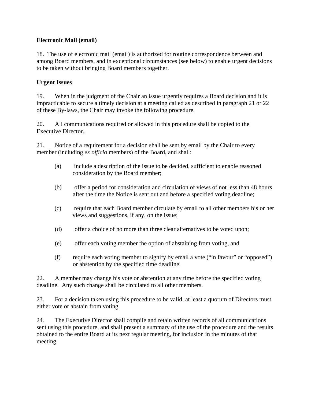### **Electronic Mail (email)**

18. The use of electronic mail (email) is authorized for routine correspondence between and among Board members, and in exceptional circumstances (see below) to enable urgent decisions to be taken without bringing Board members together.

## **Urgent Issues**

19. When in the judgment of the Chair an issue urgently requires a Board decision and it is impracticable to secure a timely decision at a meeting called as described in paragraph 21 or 22 of these By-laws, the Chair may invoke the following procedure.

20. All communications required or allowed in this procedure shall be copied to the Executive Director.

21. Notice of a requirement for a decision shall be sent by email by the Chair to every member (including *ex officio* members) of the Board, and shall:

- (a) include a description of the issue to be decided, sufficient to enable reasoned consideration by the Board member;
- (b) offer a period for consideration and circulation of views of not less than 48 hours after the time the Notice is sent out and before a specified voting deadline;
- (c) require that each Board member circulate by email to all other members his or her views and suggestions, if any, on the issue;
- (d) offer a choice of no more than three clear alternatives to be voted upon;
- (e) offer each voting member the option of abstaining from voting, and
- (f) require each voting member to signify by email a vote ("in favour" or "opposed") or abstention by the specified time deadline.

22. A member may change his vote or abstention at any time before the specified voting deadline. Any such change shall be circulated to all other members.

23. For a decision taken using this procedure to be valid, at least a quorum of Directors must either vote or abstain from voting.

24. The Executive Director shall compile and retain written records of all communications sent using this procedure, and shall present a summary of the use of the procedure and the results obtained to the entire Board at its next regular meeting, for inclusion in the minutes of that meeting.